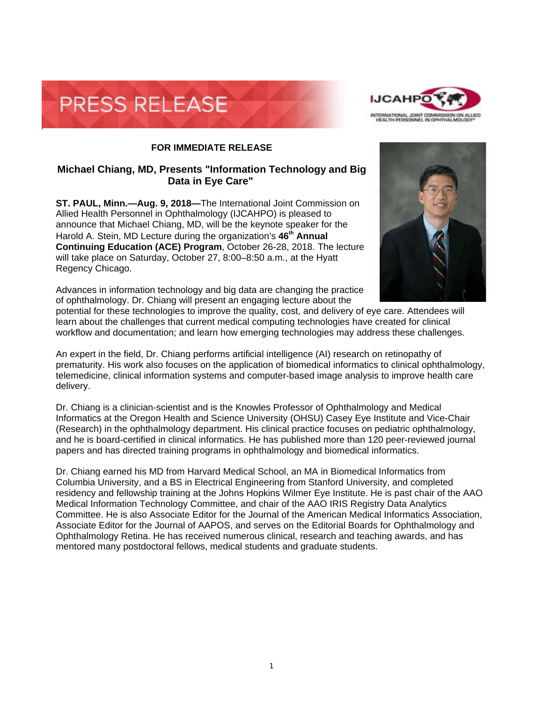



## **FOR IMMEDIATE RELEASE**

## **Michael Chiang, MD, Presents "Information Technology and Big Data in Eye Care"**

**ST. PAUL, Minn.—Aug. 9, 2018—**The International Joint Commission on Allied Health Personnel in Ophthalmology (IJCAHPO) is pleased to announce that Michael Chiang, MD, will be the keynote speaker for the Harold A. Stein, MD Lecture during the organization's 46<sup>th</sup> Annual **Continuing Education (ACE) Program**, October 26-28, 2018. The lecture will take place on Saturday, October 27, 8:00–8:50 a.m., at the Hyatt Regency Chicago.

Advances in information technology and big data are changing the practice of ophthalmology. Dr. Chiang will present an engaging lecture about the

potential for these technologies to improve the quality, cost, and delivery of eye care. Attendees will learn about the challenges that current medical computing technologies have created for clinical workflow and documentation; and learn how emerging technologies may address these challenges.

An expert in the field, Dr. Chiang performs artificial intelligence (AI) research on retinopathy of prematurity. His work also focuses on the application of biomedical informatics to clinical ophthalmology, telemedicine, clinical information systems and computer-based image analysis to improve health care delivery.

Dr. Chiang is a clinician-scientist and is the Knowles Professor of Ophthalmology and Medical Informatics at the Oregon Health and Science University (OHSU) Casey Eye Institute and Vice-Chair (Research) in the ophthalmology department. His clinical practice focuses on pediatric ophthalmology, and he is board-certified in clinical informatics. He has published more than 120 peer-reviewed journal papers and has directed training programs in ophthalmology and biomedical informatics.

Dr. Chiang earned his MD from Harvard Medical School, an MA in Biomedical Informatics from Columbia University, and a BS in Electrical Engineering from Stanford University, and completed residency and fellowship training at the Johns Hopkins Wilmer Eye Institute. He is past chair of the AAO Medical Information Technology Committee, and chair of the AAO IRIS Registry Data Analytics Committee. He is also Associate Editor for the Journal of the American Medical Informatics Association, Associate Editor for the Journal of AAPOS, and serves on the Editorial Boards for Ophthalmology and Ophthalmology Retina. He has received numerous clinical, research and teaching awards, and has mentored many postdoctoral fellows, medical students and graduate students.